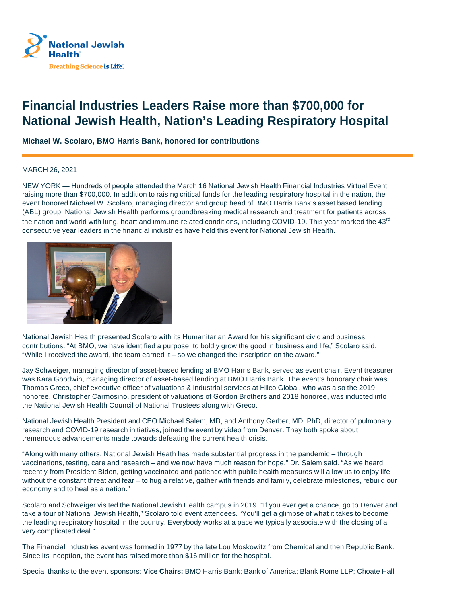

## **Financial Industries Leaders Raise more than \$700,000 for National Jewish Health, Nation's Leading Respiratory Hospital**

**Michael W. Scolaro, BMO Harris Bank, honored for contributions**

## MARCH 26, 2021

NEW YORK — Hundreds of people attended the March 16 National Jewish Health Financial Industries Virtual Event raising more than \$700,000. In addition to raising critical funds for the leading respiratory hospital in the nation, the event honored Michael W. Scolaro, managing director and group head of BMO Harris Bank's asset based lending (ABL) group. National Jewish Health performs groundbreaking medical research and treatment for patients across the nation and world with lung, heart and immune-related conditions, including COVID-19. This year marked the 43<sup>rd</sup> consecutive year leaders in the financial industries have held this event for National Jewish Health.



National Jewish Health presented Scolaro with its Humanitarian Award for his significant civic and business contributions. "At BMO, we have identified a purpose, to boldly grow the good in business and life," Scolaro said. "While I received the award, the team earned it – so we changed the inscription on the award."

Jay Schweiger, managing director of asset-based lending at BMO Harris Bank, served as event chair. Event treasurer was Kara Goodwin, managing director of asset-based lending at BMO Harris Bank. The event's honorary chair was Thomas Greco, chief executive officer of valuations & industrial services at Hilco Global, who was also the 2019 honoree. Christopher Carmosino, president of valuations of Gordon Brothers and 2018 honoree, was inducted into the National Jewish Health Council of National Trustees along with Greco.

National Jewish Health President and CEO Michael Salem, MD, and Anthony Gerber, MD, PhD, director of pulmonary research and COVID-19 research initiatives, joined the event by video from Denver. They both spoke about tremendous advancements made towards defeating the current health crisis.

"Along with many others, National Jewish Heath has made substantial progress in the pandemic – through vaccinations, testing, care and research – and we now have much reason for hope," Dr. Salem said. "As we heard recently from President Biden, getting vaccinated and patience with public health measures will allow us to enjoy life without the constant threat and fear – to hug a relative, gather with friends and family, celebrate milestones, rebuild our economy and to heal as a nation."

Scolaro and Schweiger visited the National Jewish Health campus in 2019. "If you ever get a chance, go to Denver and take a tour of National Jewish Health," Scolaro told event attendees. "You'll get a glimpse of what it takes to become the leading respiratory hospital in the country. Everybody works at a pace we typically associate with the closing of a very complicated deal."

The Financial Industries event was formed in 1977 by the late Lou Moskowitz from Chemical and then Republic Bank. Since its inception, the event has raised more than \$16 million for the hospital.

Special thanks to the event sponsors: **Vice Chairs:** BMO Harris Bank; Bank of America; Blank Rome LLP; Choate Hall